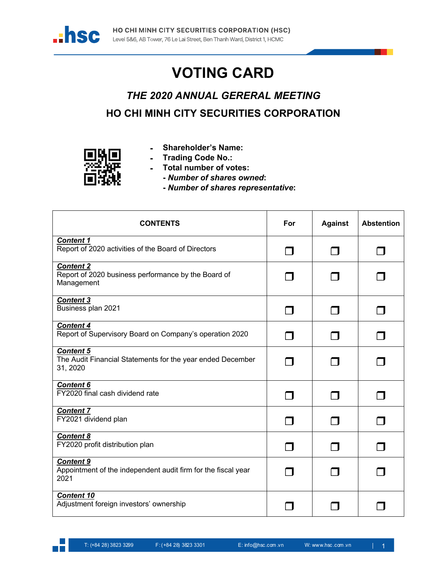

## **VOTING CARD**

## *THE 2020 ANNUAL GERERAL MEETING* **HO CHI MINH CITY SECURITIES CORPORATION**



- **- Shareholder's Name:**
- **- Trading Code No.:**
- **- Total number of votes:**
	- **-** *Number of shares owned***:**
	- **-** *Number of shares representative***:**

| <b>CONTENTS</b>                                                                            | For | <b>Against</b> | <b>Abstention</b> |
|--------------------------------------------------------------------------------------------|-----|----------------|-------------------|
| <b>Content 1</b><br>Report of 2020 activities of the Board of Directors                    |     |                |                   |
| <b>Content 2</b><br>Report of 2020 business performance by the Board of<br>Management      |     |                |                   |
| <b>Content 3</b><br>Business plan 2021                                                     |     |                |                   |
| <b>Content 4</b><br>Report of Supervisory Board on Company's operation 2020                |     |                |                   |
| <b>Content 5</b><br>The Audit Financial Statements for the year ended December<br>31, 2020 |     |                |                   |
| <b>Content 6</b><br>FY2020 final cash dividend rate                                        |     |                |                   |
| <b>Content 7</b><br>FY2021 dividend plan                                                   |     |                |                   |
| <b>Content 8</b><br>FY2020 profit distribution plan                                        |     |                |                   |
| <b>Content 9</b><br>Appointment of the independent audit firm for the fiscal year<br>2021  |     |                |                   |
| <b>Content 10</b><br>Adjustment foreign investors' ownership                               |     |                |                   |

a kalendar